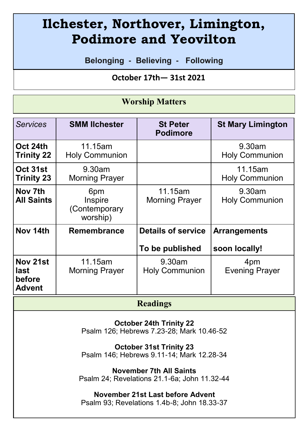# **Ilchester, Northover, Limington, Podimore and Yeovilton**

**Belonging - Believing - Following**

 **October 17th— 31st 2021** 

#### **Worship Matters**

| <b>Services</b>                             | <b>SMM lichester</b>                        | <b>St Peter</b><br><b>Podimore</b>           | <b>St Mary Limington</b>             |
|---------------------------------------------|---------------------------------------------|----------------------------------------------|--------------------------------------|
| Oct 24th<br><b>Trinity 22</b>               | 11.15am<br><b>Holy Communion</b>            |                                              | 9.30am<br><b>Holy Communion</b>      |
| Oct 31st<br>Trinity 23                      | 9.30am<br><b>Morning Prayer</b>             |                                              | 11.15am<br><b>Holy Communion</b>     |
| Nov 7th<br><b>All Saints</b>                | 6pm<br>Inspire<br>(Contemporary<br>worship) | 11.15am<br><b>Morning Prayer</b>             | 9.30am<br><b>Holy Communion</b>      |
| Nov 14th                                    | Remembrance                                 | <b>Details of service</b><br>To be published | <b>Arrangements</b><br>soon locally! |
| Nov 21st<br>last<br>before<br><b>Advent</b> | 11.15am<br><b>Morning Prayer</b>            | 9.30am<br><b>Holy Communion</b>              | 4pm<br><b>Evening Prayer</b>         |

#### **Readings**

**October 24th Trinity 22** Psalm 126; Hebrews 7.23-28; Mark 10.46-52

**October 31st Trinity 23**  Psalm 146; Hebrews 9.11-14; Mark 12.28-34

**November 7th All Saints** Psalm 24; Revelations 21.1-6a; John 11.32-44

**November 21st Last before Advent** Psalm 93; Revelations 1.4b-8; John 18.33-37